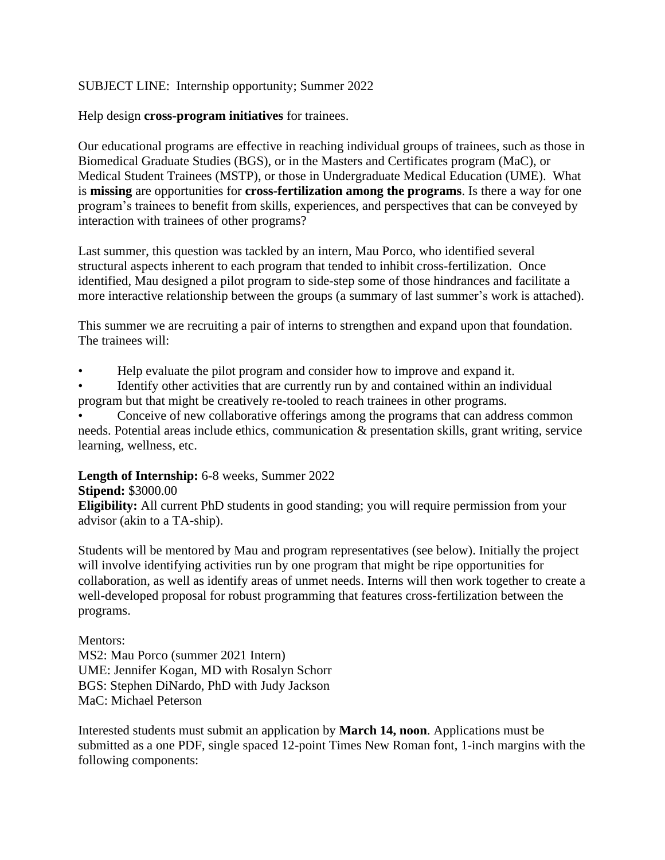## SUBJECT LINE: Internship opportunity; Summer 2022

Help design **cross-program initiatives** for trainees.

Our educational programs are effective in reaching individual groups of trainees, such as those in Biomedical Graduate Studies (BGS), or in the Masters and Certificates program (MaC), or Medical Student Trainees (MSTP), or those in Undergraduate Medical Education (UME). What is **missing** are opportunities for **cross-fertilization among the programs**. Is there a way for one program's trainees to benefit from skills, experiences, and perspectives that can be conveyed by interaction with trainees of other programs?

Last summer, this question was tackled by an intern, Mau Porco, who identified several structural aspects inherent to each program that tended to inhibit cross-fertilization. Once identified, Mau designed a pilot program to side-step some of those hindrances and facilitate a more interactive relationship between the groups (a summary of last summer's work is attached).

This summer we are recruiting a pair of interns to strengthen and expand upon that foundation. The trainees will:

• Help evaluate the pilot program and consider how to improve and expand it.

Identify other activities that are currently run by and contained within an individual program but that might be creatively re-tooled to reach trainees in other programs.

Conceive of new collaborative offerings among the programs that can address common needs. Potential areas include ethics, communication & presentation skills, grant writing, service learning, wellness, etc.

## **Length of Internship:** 6-8 weeks, Summer 2022

## **Stipend:** \$3000.00

**Eligibility:** All current PhD students in good standing; you will require permission from your advisor (akin to a TA-ship).

Students will be mentored by Mau and program representatives (see below). Initially the project will involve identifying activities run by one program that might be ripe opportunities for collaboration, as well as identify areas of unmet needs. Interns will then work together to create a well-developed proposal for robust programming that features cross-fertilization between the programs.

Mentors:

MS2: Mau Porco (summer 2021 Intern) UME: Jennifer Kogan, MD with Rosalyn Schorr BGS: Stephen DiNardo, PhD with Judy Jackson MaC: Michael Peterson

Interested students must submit an application by **March 14, noon**. Applications must be submitted as a one PDF, single spaced 12-point Times New Roman font, 1-inch margins with the following components: